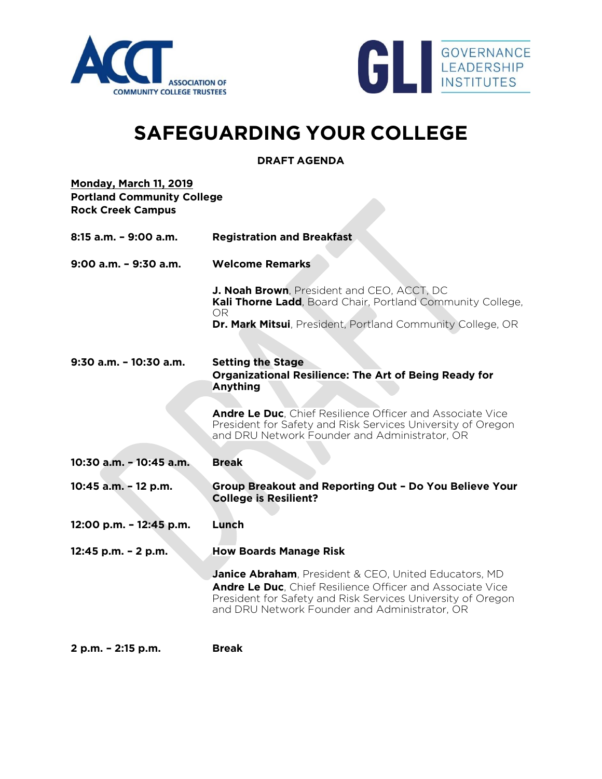



## **SAFEGUARDING YOUR COLLEGE**

**DRAFT AGENDA**

| <b>Monday, March 11, 2019</b><br><b>Portland Community College</b><br><b>Rock Creek Campus</b> |                                                                                                                                                                                                                                                   |  |
|------------------------------------------------------------------------------------------------|---------------------------------------------------------------------------------------------------------------------------------------------------------------------------------------------------------------------------------------------------|--|
| 8:15 a.m. - 9:00 a.m.                                                                          | <b>Registration and Breakfast</b>                                                                                                                                                                                                                 |  |
| 9:00 a.m. - 9:30 a.m.                                                                          | <b>Welcome Remarks</b>                                                                                                                                                                                                                            |  |
|                                                                                                | J. Noah Brown, President and CEO, ACCT, DC<br>Kali Thorne Ladd, Board Chair, Portland Community College,<br>OR.                                                                                                                                   |  |
|                                                                                                | <b>Dr. Mark Mitsui</b> , President, Portland Community College, OR                                                                                                                                                                                |  |
| $9:30$ a.m. $-10:30$ a.m.                                                                      | <b>Setting the Stage</b><br><b>Organizational Resilience: The Art of Being Ready for</b><br>Anything                                                                                                                                              |  |
|                                                                                                | Andre Le Duc, Chief Resilience Officer and Associate Vice<br>President for Safety and Risk Services University of Oregon<br>and DRU Network Founder and Administrator, OR                                                                         |  |
| 10:30 a.m. - 10:45 a.m.                                                                        | <b>Break</b>                                                                                                                                                                                                                                      |  |
| 10:45 a.m. - 12 p.m.                                                                           | Group Breakout and Reporting Out - Do You Believe Your<br><b>College is Resilient?</b>                                                                                                                                                            |  |
| 12:00 p.m. - 12:45 p.m.                                                                        | Lunch                                                                                                                                                                                                                                             |  |
| 12:45 p.m. - 2 p.m.                                                                            | <b>How Boards Manage Risk</b>                                                                                                                                                                                                                     |  |
|                                                                                                | <b>Janice Abraham</b> , President & CEO, United Educators, MD<br><b>Andre Le Duc.</b> Chief Resilience Officer and Associate Vice<br>President for Safety and Risk Services University of Oregon<br>and DRU Network Founder and Administrator, OR |  |
| 2 p.m. - 2:15 p.m.                                                                             | <b>Break</b>                                                                                                                                                                                                                                      |  |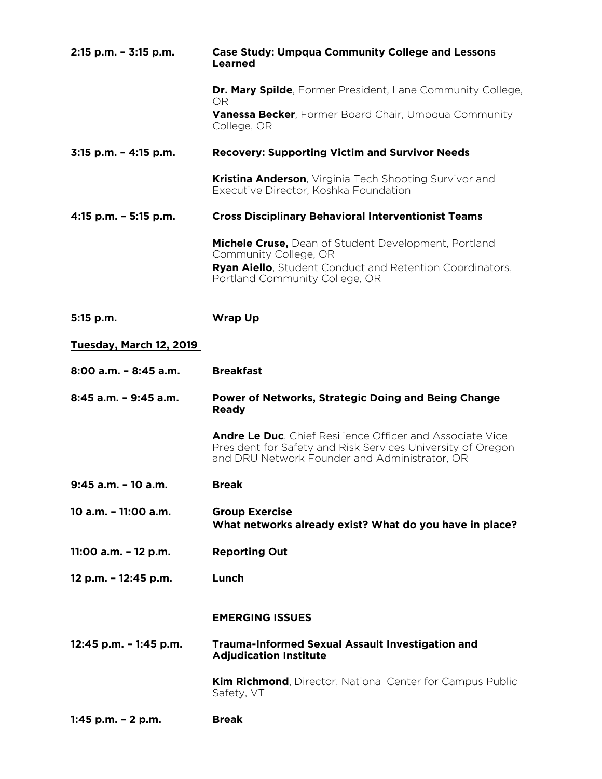| 2:15 p.m. - 3:15 p.m.    | <b>Case Study: Umpqua Community College and Lessons</b><br><b>Learned</b>                                                                                                 |
|--------------------------|---------------------------------------------------------------------------------------------------------------------------------------------------------------------------|
|                          | <b>Dr. Mary Spilde</b> , Former President, Lane Community College,<br>OR.                                                                                                 |
|                          | <b>Vanessa Becker, Former Board Chair, Umpqua Community</b><br>College, OR                                                                                                |
| 3:15 p.m. - 4:15 p.m.    | <b>Recovery: Supporting Victim and Survivor Needs</b>                                                                                                                     |
|                          | <b>Kristina Anderson</b> , Virginia Tech Shooting Survivor and<br>Executive Director, Koshka Foundation                                                                   |
| 4:15 p.m. - 5:15 p.m.    | <b>Cross Disciplinary Behavioral Interventionist Teams</b>                                                                                                                |
|                          | Michele Cruse, Dean of Student Development, Portland<br>Community College, OR                                                                                             |
|                          | <b>Ryan Aiello, Student Conduct and Retention Coordinators,</b><br>Portland Community College, OR                                                                         |
| 5:15 p.m.                | <b>Wrap Up</b>                                                                                                                                                            |
| Tuesday, March 12, 2019  |                                                                                                                                                                           |
| $8:00$ a.m. $-8:45$ a.m. | <b>Breakfast</b>                                                                                                                                                          |
| 8:45 a.m. - 9:45 a.m.    | <b>Power of Networks, Strategic Doing and Being Change</b><br><b>Ready</b>                                                                                                |
|                          | Andre Le Duc, Chief Resilience Officer and Associate Vice<br>President for Safety and Risk Services University of Oregon<br>and DRU Network Founder and Administrator, OR |
| 9:45 a.m. - 10 a.m.      | <b>Break</b>                                                                                                                                                              |
| 10 a.m. - 11:00 a.m.     | <b>Group Exercise</b><br>What networks already exist? What do you have in place?                                                                                          |
| 11:00 a.m. - 12 p.m.     | <b>Reporting Out</b>                                                                                                                                                      |
| 12 p.m. - 12:45 p.m.     | Lunch                                                                                                                                                                     |
|                          | <b>EMERGING ISSUES</b>                                                                                                                                                    |
| 12:45 p.m. - 1:45 p.m.   | <b>Trauma-Informed Sexual Assault Investigation and</b><br><b>Adjudication Institute</b>                                                                                  |
|                          | <b>Kim Richmond</b> , Director, National Center for Campus Public<br>Safety, VT                                                                                           |
| 1:45 p.m. $- 2$ p.m.     | <b>Break</b>                                                                                                                                                              |